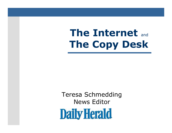**The Internet** and**The Copy Desk**

Teresa SchmeddingNews Editor**Daily Herald**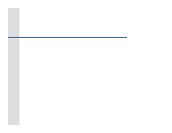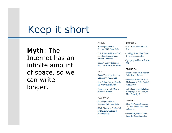# Keep it short

Myth: The Internet has an infinite amount of space, so we can write longer.

#### WORLD »

- Bush Urges Sudan to Continue With Peace Talks

- U.S., Britain and France Draft U.N. Resolution on Iran's Nuclear Ambitions
- Bolivia's Energy Takeover: Populism Rules in the Andes
- $US.$ »
- Faulty Testimony Sent 2 to Death Row, Panel Finds
- New Orleans Mayor Unveils a New Evacuation Plan
- Prosecutor in Duke Case Is Winner in Election

#### WASHINGTON »

- Bush Urges Sudan to Continue With Peace Talks
- F.B.I. Director Is Bombarded by Stinging Questions at Senate Hearing

.<br>Maria markada a shekarar 1970

#### **BLISINESS »**

- EMI Holds New Talks for Rival
- An Ugly Side of Free Trade: Sweatshops in Jordan
- Sympathy as Hard to Find as Oil

#### TECHNOLOGY »

- Market Place: Profit Falls as Sales Rise at Verizon
- Microsoft Teams Up With Hollywood to Offer Original Web Shows
- Advertising : Best Cellphone Company? All of Them, to Hear Them Say It

#### SPORTS »

- Nets 92, Pacers 86: Carter's 34 Leave Nets a Step From Advancing
- Nationals 6, Mets 2: Mets Lose the Game; Randolph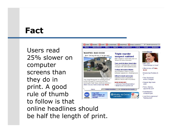Users read **WANTED: BAD DOGS** 25% slower on computer screens than they do in print. A good **News** rule of thumb Any AJC (ajc) subscription, as<br>little as \$10 per month! to follow is that online headlines should be half the length of print.



Look inside :

JOBS | HOMES | CARS | CLASSIFIEDS | SHOPPING | FIND A SERVICE

Home | Nation/World | Metro | Sports | Entertainment

newsbuzz

**Livinn** 

G Search powered by GO.

Travel Business



· ABC axes 'Commander in Chief'

. Who to kiss off? IDOL BLOG.

- · Braves top Rockies 5- $\overline{4}$
- . Two 'Sopranos' actors charged
- Rapper Big Hawk slain
- · Paris, Stavros apparently split
- · Find Atlanta's cheapest gas
- · Can't find Louisiana? **Test vourself**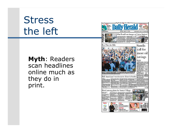# Stressthe left

**Myth**: Readers scan headlines online much as they do in print.

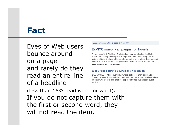Eyes of Web usersbounce aroundon a page and rarely do they read an entire lineof a headline

Updated: Tuesday, May 2, 2006, 9:41 pm CDT

#### **Ex-NYC mayor campaigns for Nussle**

Former New York City Mayor Rudy Giuliani said Monday that the United States must deal practically with immigration rather than taking extreme actions which drive the problem underground, and he added that making it a crime to be in the country illegally would make the nation less secure. By Ed Tibbetts and Charlotte Eby

#### Judge rules against delaying ban on TouchPlay

DES MOINES - After TouchPlay owners lost a last-ditch legal battle Tuesday to keep the video lottery devices turned on, some lowa lawmakers. said they will make a final effort to keep the affected businesses out of bankruptcy.

(less than 16% read word for word).If you do not capture them with the first or second word, they will not read the item.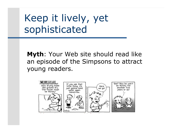# Keep it lively, yet sophisticated

**Myth**: Your Web site should read like an episode of the Simpsons to attract young readers.

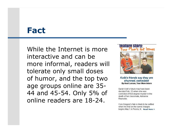While the Internet is more interactive and can be more informal, readers will tolerate only small doses of humor, and the top two age groups online are 35- 44 and 45-54. Only 5% of online readers are 18-24.





Kolb's friends say they are shunned, ostracized By Axel Larson, Your Mom Intern

Sarah Kolb's future may have been decided Feb. 22 when she was convicted of first-degree murder in the death of her classmate, Adrianne Reynolds.

Cory Gregory's fate is likely to be settled when his trial on the same charges begins May 1 in Peoria, III. Read More »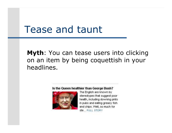# Tease and taunt

### **Myth**: You can tease users into clicking on an item by being coquettish in your headlines.

#### Is the Queen healthier than George Bush?



The English are known by stereotypes that suggest poor health, including downing pints in pubs and eating greasy fish and chips. Well, so much for ste... FULL STORY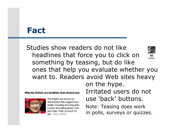Studies show readers do not like headlines that force you to click on more.. something by teasing, but do like ones that help you evaluate whether you want to. Readers avoid Web sites heavy

Why the British are healthier than Americans



The English are known by stereotypes that suggest poor health, including downing pints in pubs and eating greasy fish and chips. Well, so much for ste... FULL STORY

on the hype.Irritated users do notuse 'back' buttons.Note: Teasing does workin polls, surveys or quizzes.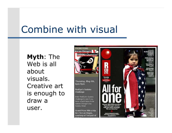# Combine with visual

**Myth**: The Web is all about visuals. Creative art is enough to draw a user.

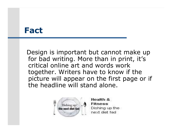Design is important but cannot make up for bad writing. More than in print, it's critical online art and words work together. Writers have to know if the picture will appear on the first page or if the headline will stand alone.



Health & Fitness Dishing up the next diet fad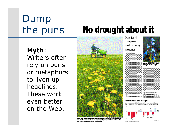# Dump the puns

# No drought about it

### **Myth**:

 Writers often rely on puns or metaphors to liven up headlines. These work even better on the Web.



Ribert Koos moves his yout olang Koutz Road in St. Charles Township Tuesday of the-.<br>Tron: Weekendrains made the grees grow quickly along with the dundelions. This<br>Tin't grees, it's organized weeds," Kass said f

Dust Bowlcomparison washed away **BY-DAYS-ORKICKS** \*\*\*\*\*\*\*\*\*\*\*\*

00000000000000000000



ubanad blik with recent maisture. sich he naning syn Jussier



Recent rains end drought

Above-average ra rfall in March and April belped replenish water levels reduced by lows: monthly precipitation over the past year.

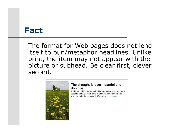The format for Web pages does not lend itself to pun/metaphor headlines. Unlike print, the item may not appear with the picture or subhead. Be clear first, clever second.



#### The drought is over - dandelions don't lie

Ahhhhhhhhhh. Like a parched farmer having just chugged a satiating drink of water. Illinois' fertile fields and suburban lawns breathed a sigh of relief Tuesday. FULL STORY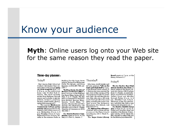## Know your audience

### Myth: Online users log onto your Web site for the same reason they read the paper.

#### Three-day planner:

#### Today¶

students will display their oreative talent at the annual spring 2505. T art show reception from 7 to  $8:30.$ p.m. in the auditorium fover, 1201 W. New York St. Aurora. The show includes entries from freshman through seniors and includes soulpture, jewelry, ceramics, painting, drawing, mixed media, photographyandcomputerart."

.....The annual Waubonsee Community College spring pottery sale sponsored by the ceramics.chib.is.from.noon.to.9 p.m. Wednesday, 10 a.m. to 9 p.m. Thursday, 10a.m. to 7 p.m. Friday and 10 a.m., to 4 p.m., Sat- **mission** meets at 8 a.m., at City urday in the ceramics studio in Hall, 22 S. First St., Geneva. "[1]

Building Xat the Sugar Grove campus, Route 47 at Waubonsee ..Mest.Aurora.High.School.art | Drive, For details, call Doug leppesen.at.(530).466-7900. ext.

> "Rolling Down the River" Business-to-Business Expo.is from 2 to 8 p.m. at the Pheasant Run Resort Maga Center, 4051 E. Main St. in St. Charles, The free event is presented by chambers from Bartlett, Batavia, Elgin, Geneva, South Elgin, St. Charles, Warrenville and West Chicago. For information, call Deborah Scott at the St. Chades Chamber of Commerce at (630) 584-8384. T

The Geneva Business Com-

Thursday¶

John Lynn, world traveler and lecturer presents. "Life on the Lewis and Clark Trail®at 7 p.m. . at the Batavia Public Library. 10 S. Batavia Ave. Lynn narrates the epic story of the crossing of the Road, St. Charles, A juried exhi-Continental Divide by Lewis . and Clark. He will describe his own-bike-ride-over-a-400-mile route through Montana and pm., Saturday 11 am. to 4 pm. Idaho, including the scenic Lolo Admission is free For informa-Mountains. For details, call www.norrisculturalarts.com. "[ (530).879-4777.'[

observed with a player service Hiday and Saturday. Maps are at noon at the Kane County - available at the Batavia Govern -Courthouse, 100-S. Third-St., ment-Center, 100 N. Island-Ave. Geneva.'I

Board meets at 7.p.m. at the library, 54-Snow-St. T

#### Fridav¶

The St. Charles East High School Student Art Show at Norris Gallery at the Norris Cultural Arts Center, 1040 Dunham bition of artwork by students. Gallery hours are Monday through Friday 10 a.m. to 4 Trail across the Bitterroot tion, call (530) 584-7200 or visit

The Batavia Girynde Garage The National Day of Prayer is Sale is from 8 a.m. to 4 p.m. Res charged to sellers help pay The Sugar Grove Library for the Batavia July 4 fireworks.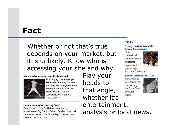### Whether or not that's true depends on your market, butit is unlikely. Know who is accessing your site and why.

#### **Successful no-decision for Marshall**



Not long ago, when people talked about young pitchers carrying the Cubs, they were talking about Kerry Wood, Mark Prior and Carlos Zambrano, With Zamb... **FULL STORY** 

#### Bears hoping for one big 'Yea'

Bears coach Lovie Smith has made his tiny hometown of Big Sandy, Texas, familiar to football fans in and around the City of Big Shoulders, and Danieal... FULL STORY

Play your heads to that angle,whether it's

 entertainment,analysis or local news.

#### ARTS »

#### **String Quartets Reveal the** Private Shostakovich

"The confessional nature of certain quartets is impossible to ignore," says



Anthony Tommasini.

#### **Review: 'Stardust' on TCM**

The hypnotic, affectionate new documentary lets Bette Davis speak for herself.

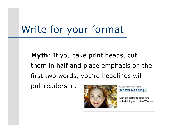# Write for your format

**Myth**: If you take print heads, cut them in half and place emphasis on the first two words, you're headlines will

pull readers in.



08A TRANSCRIPT **What's Cooking?** 

Dish on spring recipes and entertaining with Kim O'Donnel.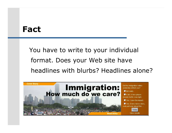## You have to write to your individual format. Does your Web site have headlines with blurbs? Headlines alone?

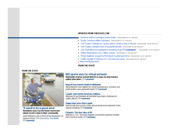#### **UPDATES FROM THESTATE.COM**

- Sanford vetoes Lexington heart center 5/02/2006 03:01 AM EDT
- South Carolina lottery numbers 5/02/2006 01:31 PM EDT
- E YGA Today | Debate on cig tax, tuition credit on tap in House 5/02/2006 12:45 PM EDT
- YGA Today | Senate kicks of property tax talk 5/02/2006 12:36 PM EDT
- . Jury: Wal-Mart not negligent in fondling of girl  $\overline{\mathbb Q}$  Comment?  $\rightarrow$  5/02/2006 12:33 PM EDT
- Watch Riverbanks Zoo critters online 5/02/2006 11:44 AM EDT
- Three fugitives sought by Richland County task force 5/02/2006 10:27 AM EDT
- $\blacksquare$  Traffic update 3 | Wrecks on I-20 east and west 5/02/2006 08:31 AM EDT
- More breaking news

**FROM THE STATE** 

#### **FROM THE STATE**



'It used to be a good area' **Residents near Farrow Road concerned** about recent crime in their community

Isiah Williams sits in front of his business on Farrow Road. (Tim Dominick, The State) Comment

#### Bill opens door to virtual schools

Statewide charter school district is seen as step toward online education | **D** Comment

**Boycott has mixed results in Midlands** 

Absenteeism was higher for some businesses, schools, but participation was generally light  $\overline{\mathbb{Q}}$  Comment

#### Lawyer says victim deserves millions

Attorney for girl fondled at Wal-Mart says teen continues to suffer effects | **D** Comment

#### Happy days were there again

Democrats find a lot to cheer about at biennial Galivants Ferry stump meeting | **E** Comment

#### **Citadel's 'The Boo' dies at 89**

Retired Lt. Col. Thomas Nugent Courvoisie inspired novelist Pat Conroy to write | *Q* Comment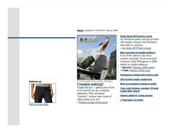#### News Updated 11:14 PM CDT May 2, 2006



#### **Bottoms up**



Hot summer pants

Practicing against the skyline. (RedEye)

#### Freestyle walking?

Forget the bus -- getting from Point A to Point B can be a creative adventure. Who are these "traceurs," whose main mode of urban travel is by air?

· Painful secrets of the sport

#### Plane down off Russia's coast

An Armenian plane carrying at least 100 people crashes into the Black Sea with no survivors.

- Jet skids off O'Hare runway

#### Man executed on invalid evidence

Four of the nation's top arson experts conclude Texas executed Cameron Todd Willingham in 2004 based on invalid evidence.

· Special: Tribune's 2004 report

. Flash: History of the case

Seminarian sentenced in fatal crash

Old Orchard slaver sentenced

New accusations in hiring scandal

Teen, neck broken, survives 30-hour ordeal after attack

**Obama added to Conan quests** 

2 'Sopranos' arrested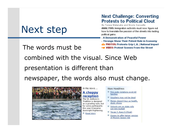# Next step

The words must be

### **Next Challenge: Converting Protests to Political Clout**

By Teresa Watanabe and Nicole Gaouette

**ANALYSIS:** Immigration activists must now figure out how to translate the passion of the streets into lasting political gains.

- A Demonstration of Peaceful Power
- Throngs Show Their Potent Role in Economy
- **Ca** PHOTOS: Protests Grip L.A. | National Impact
- **EXT VIDEO: Protest Scenes From the Street**

combined with the visual. Since Web presentation is different than

newspaper, the words also must change.



#### In the news ...

#### A choppy reception

The St. Anthony's Triathlon is designed as a grueling race, but for some participants this year it became downright frightening. Read story

#### More Headlines

- Fire code violations evict 40 families
- a Vouchers may not be dead
- Money doesn't buy us health. study shows
- a Schools win as state rolls out new budget
- al Texas 7, Rays 5 (Final)
- a Disney to offer tamer version of Mission Space ride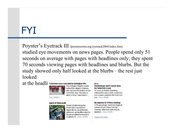# FYI

Poynter's Eyetrack III (poynterextra.org/eyetrack2004/index.htm) studied eye movements on news pages. People spend only 51 seconds on average with pages with headlines only; they spent 70 seconds viewing pages with headlines and blurbs. But the study showed only half looked at the blurbs – the rest just looked

at the headli crite



The Arlington Heights couple behind the village's Criterium bike race put the brakes on the event this year. "It's been a labor of love." said Karen I...

**FULL STORY** 

#### **Spirit of Riverwalk**



People strolled along the Riverwalk in downtown Naperville as usual Monday afternoon, giving little notice to the group gathered around a sculpture of... FULL STORY

#### **New**

Seminarian won't serve time for fatal DUI crash As soon as Robert Spaulding entered the Lake County courtroom, two women seated in the front row ros... FULL STORY

#### No injuries in O'Hare mishap

A 50-passenger American Eagle jet veered off an O'Hare runway Tuesday afternoon following an apparen... FULL STORY

Today's EZ Links